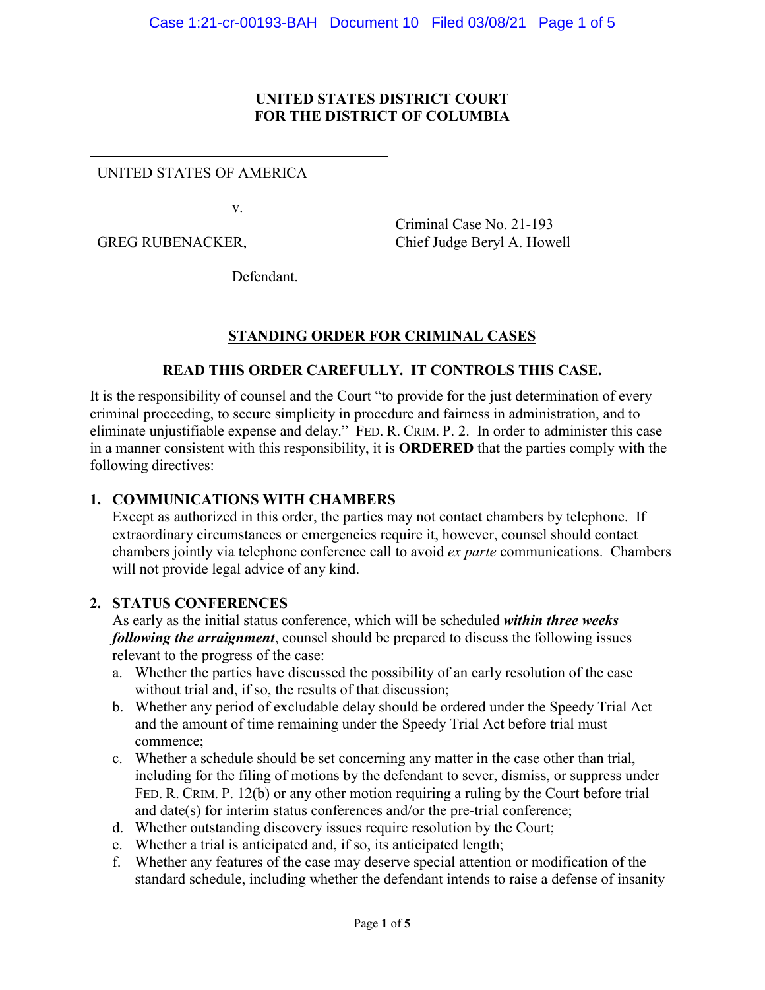### **UNITED STATES DISTRICT COURT FOR THE DISTRICT OF COLUMBIA**

UNITED STATES OF AMERICA

v.

GREG RUBENACKER,

Criminal Case No. 21-193 Chief Judge Beryl A. Howell

Defendant.

# **STANDING ORDER FOR CRIMINAL CASES**

## **READ THIS ORDER CAREFULLY. IT CONTROLS THIS CASE.**

It is the responsibility of counsel and the Court "to provide for the just determination of every criminal proceeding, to secure simplicity in procedure and fairness in administration, and to eliminate unjustifiable expense and delay." FED. R. CRIM. P. 2. In order to administer this case in a manner consistent with this responsibility, it is **ORDERED** that the parties comply with the following directives:

### **1. COMMUNICATIONS WITH CHAMBERS**

Except as authorized in this order, the parties may not contact chambers by telephone. If extraordinary circumstances or emergencies require it, however, counsel should contact chambers jointly via telephone conference call to avoid *ex parte* communications. Chambers will not provide legal advice of any kind.

#### **2. STATUS CONFERENCES**

As early as the initial status conference, which will be scheduled *within three weeks following the arraignment*, counsel should be prepared to discuss the following issues relevant to the progress of the case:

- a. Whether the parties have discussed the possibility of an early resolution of the case without trial and, if so, the results of that discussion;
- b. Whether any period of excludable delay should be ordered under the Speedy Trial Act and the amount of time remaining under the Speedy Trial Act before trial must commence;
- c. Whether a schedule should be set concerning any matter in the case other than trial, including for the filing of motions by the defendant to sever, dismiss, or suppress under FED. R. CRIM. P. 12(b) or any other motion requiring a ruling by the Court before trial and date(s) for interim status conferences and/or the pre-trial conference;
- d. Whether outstanding discovery issues require resolution by the Court;
- e. Whether a trial is anticipated and, if so, its anticipated length;
- f. Whether any features of the case may deserve special attention or modification of the standard schedule, including whether the defendant intends to raise a defense of insanity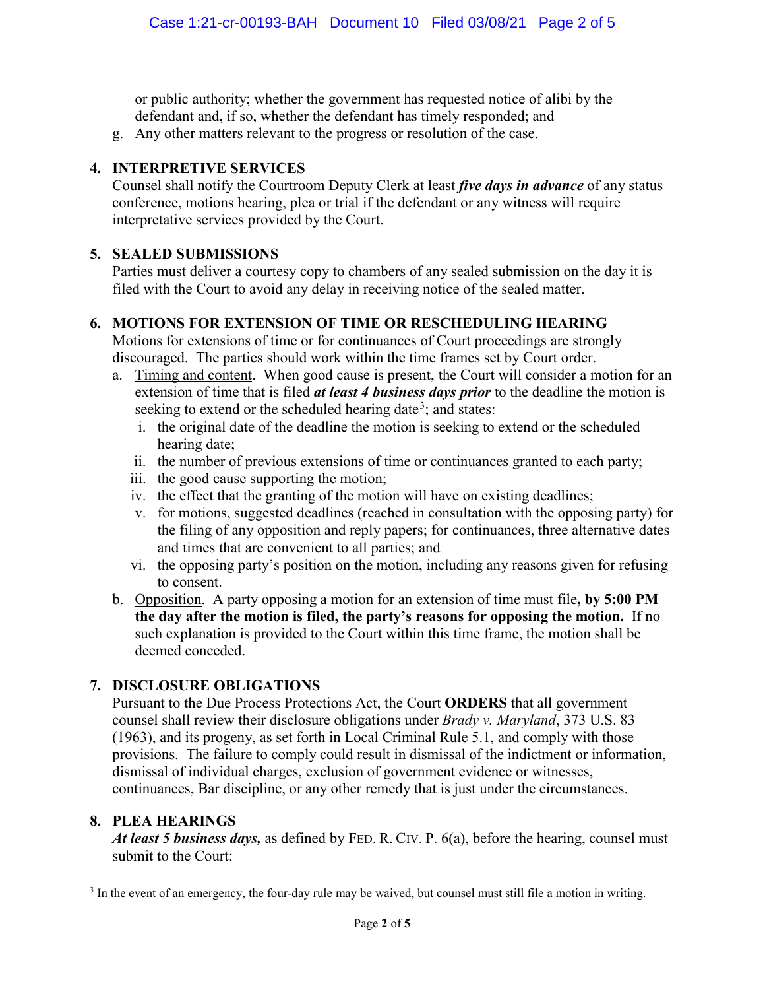or public authority; whether the government has requested notice of alibi by the defendant and, if so, whether the defendant has timely responded; and

g. Any other matters relevant to the progress or resolution of the case.

## **4. INTERPRETIVE SERVICES**

Counsel shall notify the Courtroom Deputy Clerk at least *five days in advance* of any status conference, motions hearing, plea or trial if the defendant or any witness will require interpretative services provided by the Court.

# **5. SEALED SUBMISSIONS**

Parties must deliver a courtesy copy to chambers of any sealed submission on the day it is filed with the Court to avoid any delay in receiving notice of the sealed matter.

# **6. MOTIONS FOR EXTENSION OF TIME OR RESCHEDULING HEARING**

Motions for extensions of time or for continuances of Court proceedings are strongly discouraged. The parties should work within the time frames set by Court order.

- a. Timing and content. When good cause is present, the Court will consider a motion for an extension of time that is filed *at least 4 business days prior* to the deadline the motion is seeking to extend or the scheduled hearing date<sup>3</sup>; and states:
	- i. the original date of the deadline the motion is seeking to extend or the scheduled hearing date;
	- ii. the number of previous extensions of time or continuances granted to each party;
	- iii. the good cause supporting the motion;
	- iv. the effect that the granting of the motion will have on existing deadlines;
	- v. for motions, suggested deadlines (reached in consultation with the opposing party) for the filing of any opposition and reply papers; for continuances, three alternative dates and times that are convenient to all parties; and
	- vi. the opposing party's position on the motion, including any reasons given for refusing to consent.
- b. Opposition. A party opposing a motion for an extension of time must file**, by 5:00 PM the day after the motion is filed, the party's reasons for opposing the motion.** If no such explanation is provided to the Court within this time frame, the motion shall be deemed conceded.

# **7. DISCLOSURE OBLIGATIONS**

Pursuant to the Due Process Protections Act, the Court **ORDERS** that all government counsel shall review their disclosure obligations under *Brady v. Maryland*, 373 U.S. 83 (1963), and its progeny, as set forth in Local Criminal Rule 5.1, and comply with those provisions. The failure to comply could result in dismissal of the indictment or information, dismissal of individual charges, exclusion of government evidence or witnesses, continuances, Bar discipline, or any other remedy that is just under the circumstances.

## **8. PLEA HEARINGS**

*At least 5 business days,* as defined by FED. R. CIV. P. 6(a), before the hearing, counsel must submit to the Court:

<sup>&</sup>lt;sup>3</sup> In the event of an emergency, the four-day rule may be waived, but counsel must still file a motion in writing.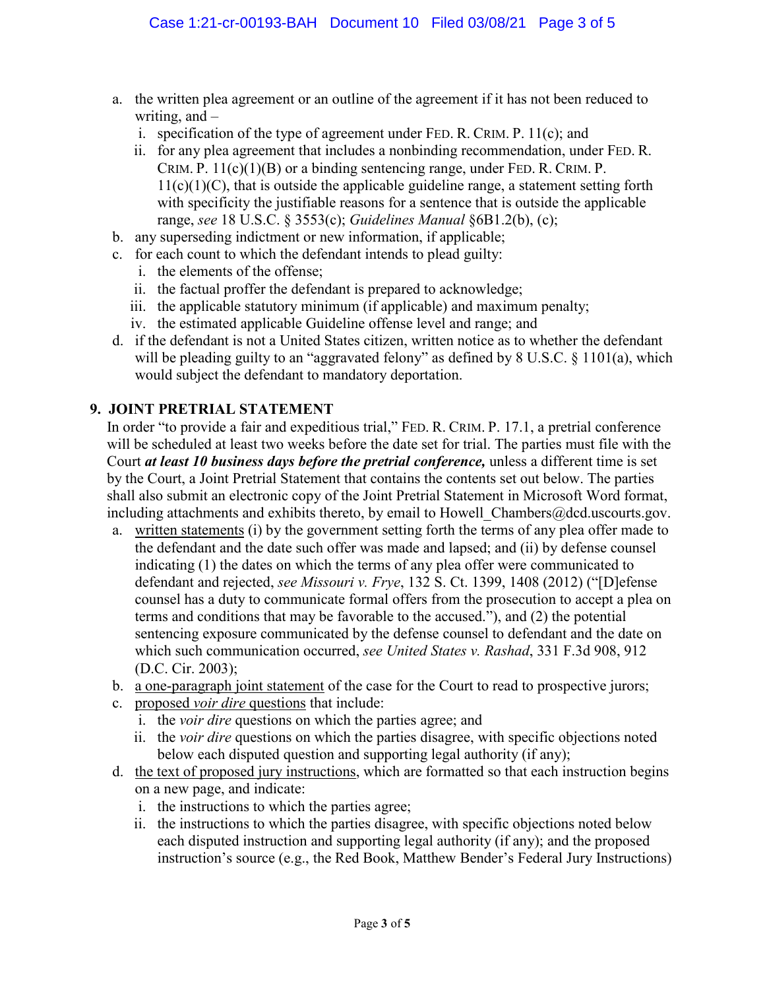- a. the written plea agreement or an outline of the agreement if it has not been reduced to writing, and –
	- i. specification of the type of agreement under FED. R. CRIM. P. 11(c); and
	- ii. for any plea agreement that includes a nonbinding recommendation, under FED. R. CRIM. P.  $11(c)(1)(B)$  or a binding sentencing range, under FED. R. CRIM. P.  $11(c)(1)(C)$ , that is outside the applicable guideline range, a statement setting forth with specificity the justifiable reasons for a sentence that is outside the applicable range, *see* 18 U.S.C. § 3553(c); *Guidelines Manual* §6B1.2(b), (c);
- b. any superseding indictment or new information, if applicable;
- c. for each count to which the defendant intends to plead guilty:
	- i. the elements of the offense;
	- ii. the factual proffer the defendant is prepared to acknowledge;
	- iii. the applicable statutory minimum (if applicable) and maximum penalty;
	- iv. the estimated applicable Guideline offense level and range; and
- d. if the defendant is not a United States citizen, written notice as to whether the defendant will be pleading guilty to an "aggravated felony" as defined by 8 U.S.C. § 1101(a), which would subject the defendant to mandatory deportation.

## **9. JOINT PRETRIAL STATEMENT**

In order "to provide a fair and expeditious trial," FED. R. CRIM. P. 17.1, a pretrial conference will be scheduled at least two weeks before the date set for trial. The parties must file with the Court *at least 10 business days before the pretrial conference,* unless a different time is set by the Court, a Joint Pretrial Statement that contains the contents set out below. The parties shall also submit an electronic copy of the Joint Pretrial Statement in Microsoft Word format, including attachments and exhibits thereto, by email to Howell Chambers@dcd.uscourts.gov.

- a. written statements (i) by the government setting forth the terms of any plea offer made to the defendant and the date such offer was made and lapsed; and (ii) by defense counsel indicating (1) the dates on which the terms of any plea offer were communicated to defendant and rejected, *see Missouri v. Frye*, 132 S. Ct. 1399, 1408 (2012) ("[D]efense counsel has a duty to communicate formal offers from the prosecution to accept a plea on terms and conditions that may be favorable to the accused."), and (2) the potential sentencing exposure communicated by the defense counsel to defendant and the date on which such communication occurred, *see United States v. Rashad*, 331 F.3d 908, 912 (D.C. Cir. 2003);
- b. a one-paragraph joint statement of the case for the Court to read to prospective jurors;
- c. proposed *voir dire* questions that include:
	- i. the *voir dire* questions on which the parties agree; and
	- ii. the *voir dire* questions on which the parties disagree, with specific objections noted below each disputed question and supporting legal authority (if any);
- d. the text of proposed jury instructions, which are formatted so that each instruction begins on a new page, and indicate:
	- i. the instructions to which the parties agree;
	- ii. the instructions to which the parties disagree, with specific objections noted below each disputed instruction and supporting legal authority (if any); and the proposed instruction's source (e.g., the Red Book, Matthew Bender's Federal Jury Instructions)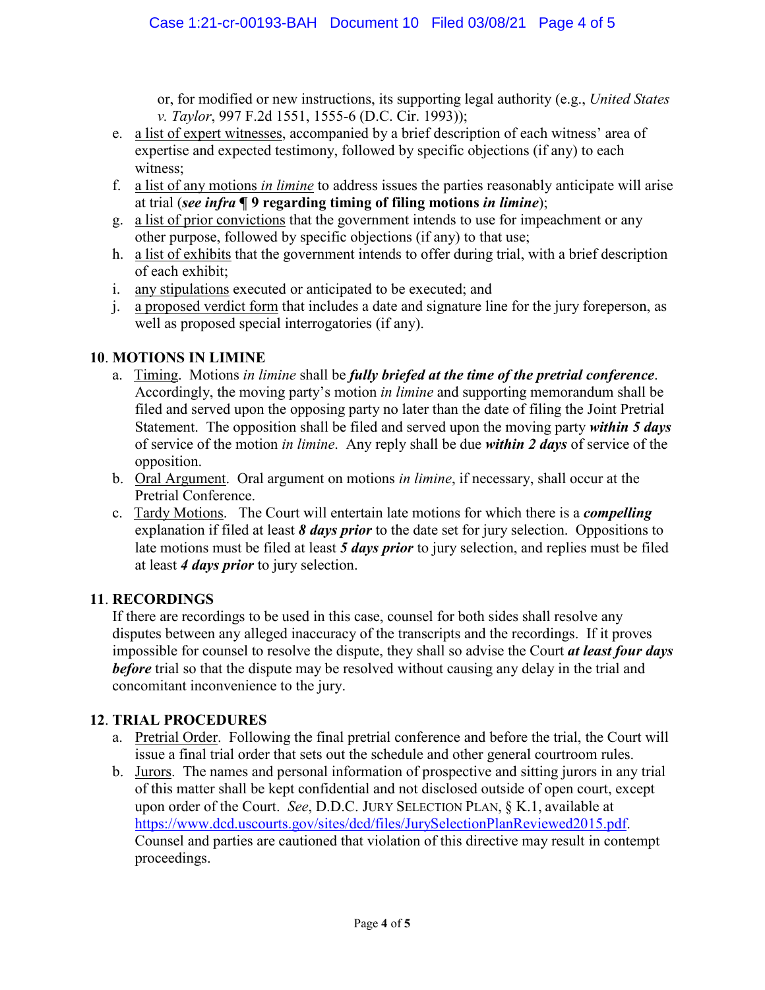or, for modified or new instructions, its supporting legal authority (e.g., *United States v. Taylor*, 997 F.2d 1551, 1555-6 (D.C. Cir. 1993));

- e. a list of expert witnesses, accompanied by a brief description of each witness' area of expertise and expected testimony, followed by specific objections (if any) to each witness;
- f. a list of any motions *in limine* to address issues the parties reasonably anticipate will arise at trial (*see infra* **¶ 9 regarding timing of filing motions** *in limine*);
- g. a list of prior convictions that the government intends to use for impeachment or any other purpose, followed by specific objections (if any) to that use;
- h. a list of exhibits that the government intends to offer during trial, with a brief description of each exhibit;
- i. any stipulations executed or anticipated to be executed; and
- j. a proposed verdict form that includes a date and signature line for the jury foreperson, as well as proposed special interrogatories (if any).

# **10**. **MOTIONS IN LIMINE**

- a. Timing.Motions *in limine* shall be *fully briefed at the time of the pretrial conference*. Accordingly, the moving party's motion *in limine* and supporting memorandum shall be filed and served upon the opposing party no later than the date of filing the Joint Pretrial Statement. The opposition shall be filed and served upon the moving party *within 5 days* of service of the motion *in limine*. Any reply shall be due *within 2 days* of service of the opposition.
- b. Oral Argument. Oral argument on motions *in limine*, if necessary, shall occur at the Pretrial Conference.
- c. Tardy Motions. The Court will entertain late motions for which there is a *compelling* explanation if filed at least *8 days prior* to the date set for jury selection. Oppositions to late motions must be filed at least *5 days prior* to jury selection, and replies must be filed at least *4 days prior* to jury selection.

# **11**. **RECORDINGS**

If there are recordings to be used in this case, counsel for both sides shall resolve any disputes between any alleged inaccuracy of the transcripts and the recordings. If it proves impossible for counsel to resolve the dispute, they shall so advise the Court *at least four days before* trial so that the dispute may be resolved without causing any delay in the trial and concomitant inconvenience to the jury.

## **12**. **TRIAL PROCEDURES**

- a. Pretrial Order. Following the final pretrial conference and before the trial, the Court will issue a final trial order that sets out the schedule and other general courtroom rules.
- b. Jurors. The names and personal information of prospective and sitting jurors in any trial of this matter shall be kept confidential and not disclosed outside of open court, except upon order of the Court. *See*, D.D.C. JURY SELECTION PLAN, § K.1, available at https://www.dcd.uscourts.gov/sites/dcd/files/JurySelectionPlanReviewed2015.pdf. Counsel and parties are cautioned that violation of this directive may result in contempt proceedings.